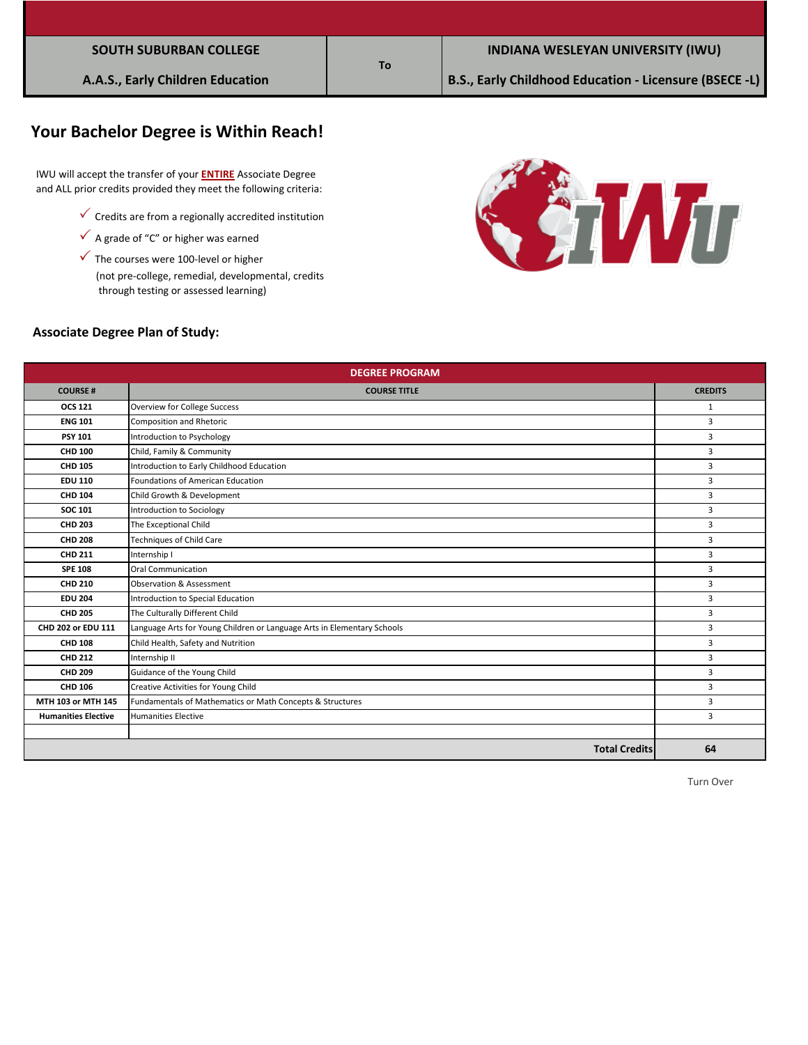# **Your Bachelor Degree is Within Reach!**

 IWU will accept the transfer of your **ENTIRE** Associate Degree and ALL prior credits provided they meet the following criteria:

- $\checkmark$  Credits are from a regionally accredited institution
- $\checkmark$  A grade of "C" or higher was earned
- $\checkmark$  The courses were 100-level or higher

 (not pre-college, remedial, developmental, credits through testing or assessed learning)



#### **Associate Degree Plan of Study:**

| <b>DEGREE PROGRAM</b>      |                                                                         |                |  |  |
|----------------------------|-------------------------------------------------------------------------|----------------|--|--|
| <b>COURSE#</b>             | <b>COURSE TITLE</b>                                                     | <b>CREDITS</b> |  |  |
| <b>OCS 121</b>             | <b>Overview for College Success</b>                                     | 1              |  |  |
| <b>ENG 101</b>             | Composition and Rhetoric                                                | 3              |  |  |
| <b>PSY 101</b>             | Introduction to Psychology                                              | 3              |  |  |
| <b>CHD 100</b>             | Child, Family & Community                                               | 3              |  |  |
| <b>CHD 105</b>             | Introduction to Early Childhood Education                               | 3              |  |  |
| <b>EDU 110</b>             | Foundations of American Education                                       | 3              |  |  |
| <b>CHD 104</b>             | Child Growth & Development                                              | 3              |  |  |
| <b>SOC 101</b>             | Introduction to Sociology                                               | 3              |  |  |
| <b>CHD 203</b>             | The Exceptional Child                                                   | 3              |  |  |
| <b>CHD 208</b>             | Techniques of Child Care                                                | 3              |  |  |
| <b>CHD 211</b>             | Internship I                                                            | 3              |  |  |
| <b>SPE 108</b>             | <b>Oral Communication</b>                                               | 3              |  |  |
| <b>CHD 210</b>             | Observation & Assessment                                                | 3              |  |  |
| <b>EDU 204</b>             | Introduction to Special Education                                       | 3              |  |  |
| <b>CHD 205</b>             | The Culturally Different Child                                          | 3              |  |  |
| CHD 202 or EDU 111         | Language Arts for Young Children or Language Arts in Elementary Schools | 3              |  |  |
| <b>CHD 108</b>             | Child Health, Safety and Nutrition                                      | 3              |  |  |
| <b>CHD 212</b>             | Internship II                                                           | 3              |  |  |
| <b>CHD 209</b>             | Guidance of the Young Child                                             | 3              |  |  |
| <b>CHD 106</b>             | Creative Activities for Young Child                                     | 3              |  |  |
| MTH 103 or MTH 145         | Fundamentals of Mathematics or Math Concepts & Structures               | 3              |  |  |
| <b>Humanities Elective</b> | <b>Humanities Elective</b>                                              | 3              |  |  |
|                            |                                                                         |                |  |  |
|                            | <b>Total Credits</b>                                                    | 64             |  |  |

### **To**